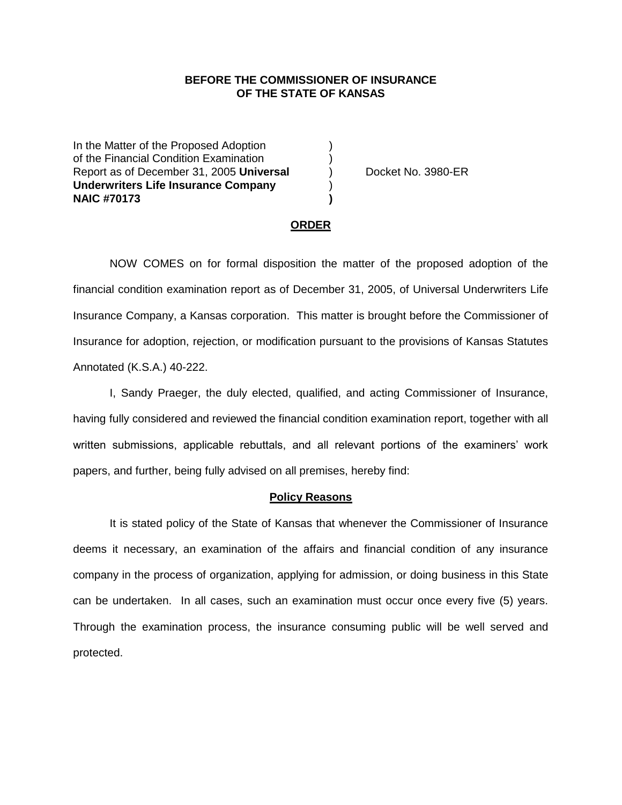## **BEFORE THE COMMISSIONER OF INSURANCE OF THE STATE OF KANSAS**

In the Matter of the Proposed Adoption of the Financial Condition Examination ) Report as of December 31, 2005 **Universal** ) Docket No. 3980-ER **Underwriters Life Insurance Company** ) **NAIC #70173 )**

#### **ORDER**

NOW COMES on for formal disposition the matter of the proposed adoption of the financial condition examination report as of December 31, 2005, of Universal Underwriters Life Insurance Company, a Kansas corporation. This matter is brought before the Commissioner of Insurance for adoption, rejection, or modification pursuant to the provisions of Kansas Statutes Annotated (K.S.A.) 40-222.

I, Sandy Praeger, the duly elected, qualified, and acting Commissioner of Insurance, having fully considered and reviewed the financial condition examination report, together with all written submissions, applicable rebuttals, and all relevant portions of the examiners' work papers, and further, being fully advised on all premises, hereby find:

### **Policy Reasons**

It is stated policy of the State of Kansas that whenever the Commissioner of Insurance deems it necessary, an examination of the affairs and financial condition of any insurance company in the process of organization, applying for admission, or doing business in this State can be undertaken. In all cases, such an examination must occur once every five (5) years. Through the examination process, the insurance consuming public will be well served and protected.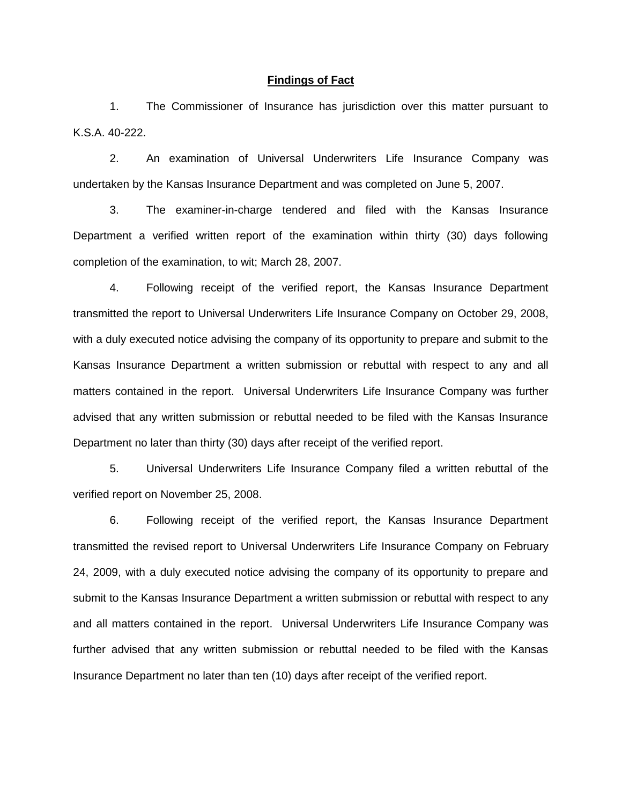#### **Findings of Fact**

1. The Commissioner of Insurance has jurisdiction over this matter pursuant to K.S.A. 40-222.

2. An examination of Universal Underwriters Life Insurance Company was undertaken by the Kansas Insurance Department and was completed on June 5, 2007.

3. The examiner-in-charge tendered and filed with the Kansas Insurance Department a verified written report of the examination within thirty (30) days following completion of the examination, to wit; March 28, 2007.

4. Following receipt of the verified report, the Kansas Insurance Department transmitted the report to Universal Underwriters Life Insurance Company on October 29, 2008, with a duly executed notice advising the company of its opportunity to prepare and submit to the Kansas Insurance Department a written submission or rebuttal with respect to any and all matters contained in the report. Universal Underwriters Life Insurance Company was further advised that any written submission or rebuttal needed to be filed with the Kansas Insurance Department no later than thirty (30) days after receipt of the verified report.

5. Universal Underwriters Life Insurance Company filed a written rebuttal of the verified report on November 25, 2008.

6. Following receipt of the verified report, the Kansas Insurance Department transmitted the revised report to Universal Underwriters Life Insurance Company on February 24, 2009, with a duly executed notice advising the company of its opportunity to prepare and submit to the Kansas Insurance Department a written submission or rebuttal with respect to any and all matters contained in the report. Universal Underwriters Life Insurance Company was further advised that any written submission or rebuttal needed to be filed with the Kansas Insurance Department no later than ten (10) days after receipt of the verified report.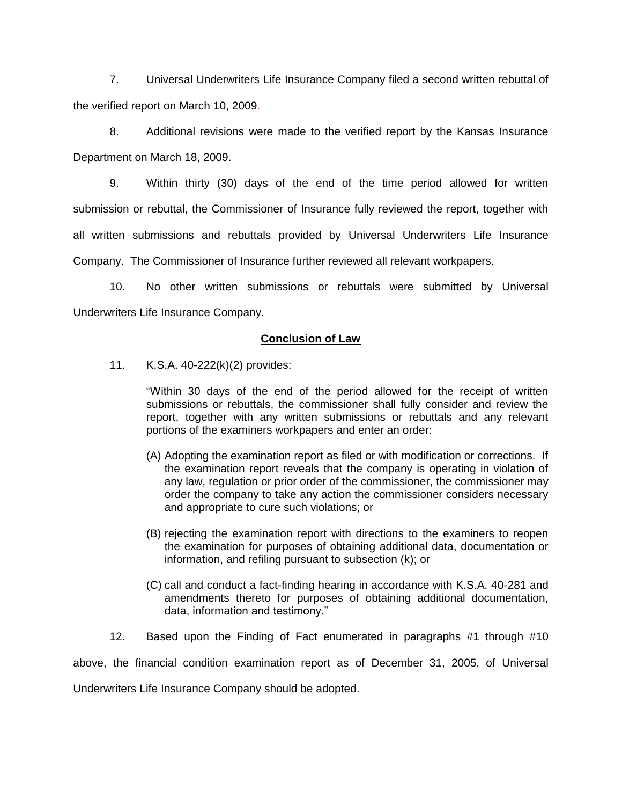7. Universal Underwriters Life Insurance Company filed a second written rebuttal of the verified report on March 10, 2009.

8. Additional revisions were made to the verified report by the Kansas Insurance Department on March 18, 2009.

9. Within thirty (30) days of the end of the time period allowed for written submission or rebuttal, the Commissioner of Insurance fully reviewed the report, together with all written submissions and rebuttals provided by Universal Underwriters Life Insurance Company. The Commissioner of Insurance further reviewed all relevant workpapers.

10. No other written submissions or rebuttals were submitted by Universal Underwriters Life Insurance Company.

## **Conclusion of Law**

11. K.S.A. 40-222(k)(2) provides:

"Within 30 days of the end of the period allowed for the receipt of written submissions or rebuttals, the commissioner shall fully consider and review the report, together with any written submissions or rebuttals and any relevant portions of the examiners workpapers and enter an order:

- (A) Adopting the examination report as filed or with modification or corrections. If the examination report reveals that the company is operating in violation of any law, regulation or prior order of the commissioner, the commissioner may order the company to take any action the commissioner considers necessary and appropriate to cure such violations; or
- (B) rejecting the examination report with directions to the examiners to reopen the examination for purposes of obtaining additional data, documentation or information, and refiling pursuant to subsection (k); or
- (C) call and conduct a fact-finding hearing in accordance with K.S.A. 40-281 and amendments thereto for purposes of obtaining additional documentation, data, information and testimony."

12. Based upon the Finding of Fact enumerated in paragraphs #1 through #10

above, the financial condition examination report as of December 31, 2005, of Universal

Underwriters Life Insurance Company should be adopted.